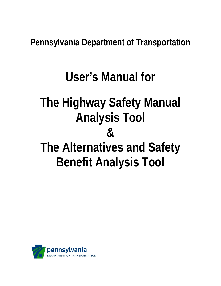**Pennsylvania Department of Transportation**

# **User's Manual for**

# **The Highway Safety Manual Analysis Tool & The Alternatives and Safety Benefit Analysis Tool**

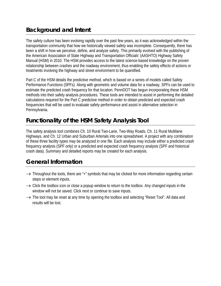# **Background and Intent**

The safety culture has been evolving rapidly over the past few years, as it was acknowledged within the transportation community that how we historically viewed safety was incomplete. Consequently, there has been a shift in how we perceive, define, and analyze safety. This primarily evolved with the publishing of the American Association of State Highway and Transportation Officials' (AASHTO) Highway Safety Manual (HSM) in 2010. The HSM provides access to the latest science-based knowledge on the proven relationship between crashes and the roadway environment, thus enabling the safety effects of actions or treatments involving the highway and street environment to be quantified.

Part C of the HSM details the predictive method, which is based on a series of models called Safety Performance Functions (SPFs). Along with geometric and volume data for a roadway, SPFs can be used to estimate the predicted crash frequency for that location. PennDOT has begun incorporating these HSM methods into their safety analysis procedures. These tools are intended to assist in performing the detailed calculations required for the Part C predictive method in order to obtain predicted and expected crash frequencies that will be used to evaluate safety performance and assist in alternative selection in Pennsylvania.

# **Functionality of the HSM Safety Analysis Tool**

The safety analysis tool combines Ch. 10 Rural Two-Lane, Two-Way Roads, Ch. 11 Rural Multilane Highways, and Ch. 12 Urban and Suburban Arterials into one spreadsheet. A project with any combination of these three facility types may be analyzed in one file. Each analysis may include either a predicted crash frequency analysis (SPF only) or a predicted and expected crash frequency analysis (SPF and historical crash data). Summary and detailed reports may be created for each analysis.

# **General Information**

- → Throughout the tools, there are "+" symbols that may be clicked for more information regarding certain steps or element inputs.
- $\rightarrow$  Click the toolbox icon or close a popup window to return to the toolbox. Any changed inputs in the window will not be saved. Click next or continue to save inputs.
- $\rightarrow$  The tool may be reset at any time by opening the toolbox and selecting "Reset Tool". All data and results will be lost.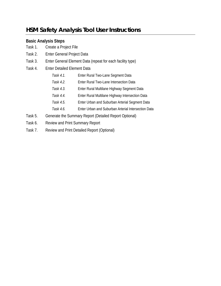# **HSM Safety Analysis Tool User Instructions**

## **Basic Analysis Steps**

- Task 1. Create a Project File
- Task 2. Enter General Project Data
- Task 3. Enter General Element Data (repeat for each facility type)
- Task 4. Enter Detailed Element Data

| Task 4.1. | Enter Rural Two-Lane Segment Data |
|-----------|-----------------------------------|
|-----------|-----------------------------------|

- *Task 4.2.* Enter Rural Two-Lane Intersection Data
- *Task 4.3.* Enter Rural Multilane Highway Segment Data
- *Task 4.4.* Enter Rural Multilane Highway Intersection Data
- *Task 4.5.* Enter Urban and Suburban Arterial Segment Data
- *Task 4.6.* Enter Urban and Suburban Arterial Intersection Data
- Task 5. Generate the Summary Report (Detailed Report Optional)
- Task 6. Review and Print Summary Report
- Task 7. Review and Print Detailed Report (Optional)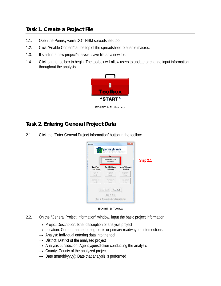## **Task 1. Create a Project File**

- 1.1. Open the Pennsylvania DOT HSM spreadsheet tool.
- 1.2. Click "Enable Content" at the top of the spreadsheet to enable macros.
- 1.3. If starting a new project/analysis, save file as a new file.
- 1.4. Click on the toolbox to begin. The toolbox will allow users to update or change input information throughout the analysis.



EXHIBIT 1: Toolbox Icon

## **Task 2. Entering General Project Data**

2.1. Click the "Enter General Project Information" button in the toolbox.



EXHIBIT 2: Toolbox

- 2.2. On the "General Project Information" window, input the basic project information:
	- $\rightarrow$  Project Description: Brief description of analysis project
	- $\rightarrow$  Location: Corridor name for segments or primary roadway for intersections
	- $\rightarrow$  Analyst: Individual entering data into the tool
	- $\rightarrow$  District: District of the analyzed project
	- $\rightarrow$  Analysis Jurisdiction: Agency/jurisdiction conducting the analysis
	- $\rightarrow$  County: County of the analyzed project
	- $\rightarrow$  Date (mm/dd/yyyy): Date that analysis is performed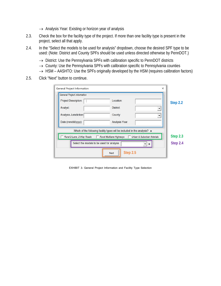- → Analysis Year: Existing or horizon year of analysis
- 2.3. Check the box for the facility type of the project. If more than one facility type is present in the project, select all that apply.
- 2.4. In the "Select the models to be used for analysis" dropdown, choose the desired SPF type to be used: (Note: District and County SPFs should be used unless directed otherwise by PennDOT.)
	- $\rightarrow$  District: Use the Pennsylvania SPFs with calibration specific to PennDOT districts
	- $\rightarrow$  County: Use the Pennsylvania SPFs with calibration specific to Pennsylvania counties
	- $\rightarrow$  HSM AASHTO: Use the SPFs originally developed by the HSM (requires calibration factors)
- 2.5. Click "Next" button to continue.

| <b>General Project Information</b><br>×                                                               |          |
|-------------------------------------------------------------------------------------------------------|----------|
| <b>General Project Information</b>                                                                    |          |
| <b>Project Description:</b><br>Location:                                                              | Step 2.2 |
| District:<br>Analyst:<br>▼                                                                            |          |
| Analysis Jurisdiction:<br>County:                                                                     |          |
| Date (mm/dd/yyyy):<br>Analysis Year:                                                                  |          |
| Which of the following facility types will be included in the analysis? $+$                           |          |
| Rural 2-Lane, 2-Way Roads<br><b>Rural Multilane Highways</b><br><b>Urban &amp; Suburban Arterials</b> | Step 2.3 |
| Select the models to be used for analysis                                                             | Step 2.4 |
| Step 2.5<br><b>Next</b>                                                                               |          |

EXHIBIT 3: General Project Information and Facility Type Selection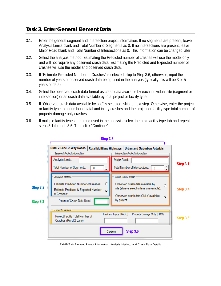## **Task 3. Enter General Element Data**

- 3.1. Enter the general segment and intersection project information. If no segments are present, leave Analysis Limits blank and Total Number of Segments as 0. If no intersections are present, leave Major Road blank and Total Number of Intersections as 0. This information can be changed later.
- 3.2. Select the analysis method. Estimating the Predicted number of crashes will use the model only and will not require any observed crash data. Estimating the Predicted and Expected number of crashes will use the model and observed crash data.
- 3.3. If "Estimate Predicted Number of Crashes" is selected, skip to Step 3.6; otherwise, input the number of years of observed crash data being used in the analysis (typically this will be 3 or 5 years of data).
- 3.4. Select the observed crash data format as crash data available by each individual site (segment or intersection) or as crash data available by total project or facility type.
- 3.5. If "Observed crash data available by site" is selected, skip to next step. Otherwise, enter the project or facility type total number of fatal and injury crashes and the project or facility type total number of property damage only crashes.
- 3.6. If multiple facility types are being used in the analysis, select the next facility type tab and repeat steps 3.1 through 3.5. Then click "Continue".

|                                                                                              | <b>OICH OID</b> |             |                                                                                                                    |   |          |
|----------------------------------------------------------------------------------------------|-----------------|-------------|--------------------------------------------------------------------------------------------------------------------|---|----------|
| Rural 2-Lane, 2-Way Roads                                                                    |                 |             | Rural Multilane Highways   Urban and Suburban Arterials                                                            |   |          |
| Segment Project Information                                                                  |                 |             | Intersection Project Information                                                                                   |   |          |
| Analysis Limits:                                                                             |                 | Major Road: |                                                                                                                    |   |          |
| Total Number of Segments:                                                                    | ÷               |             | Total Number of Intersections:                                                                                     |   | Step 3.1 |
| Analysis Method                                                                              |                 |             | Crash Data Format                                                                                                  |   |          |
| Estimate Predicted Number of Crashes:<br>Estimate Predicted & Expected Number<br>of Crashes: | G               |             | Observed crash data available by<br>site (always select unless unavailable):<br>Observed crash data ONLY available | O | Step 3.4 |
| Years of Crash Data Used:                                                                    |                 | by project: |                                                                                                                    | G |          |
| Project Crashes                                                                              |                 |             |                                                                                                                    |   |          |
| Project/Facility Total Number of<br>Crashes (Rural 2-Lane):                                  |                 |             | Fatal and Injury (KABC) Property Damage Only (PDO)                                                                 |   | Step 3.5 |
|                                                                                              | Continue        |             | Step 3.6                                                                                                           |   |          |

**Step 3.6**

EXHIBIT 4: Element Project Information, Analysis Method, and Crash Data Details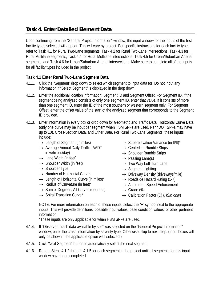## **Task 4. Enter Detailed Element Data**

Upon continuing from the "General Project Information" window, the input window for the inputs of the first facility types selected will appear. This will vary by project. For specific instructions for each facility type, refer to Task 4.1 for Rural Two-Lane segments, Task 4.2 for Rural Two-Lane intersections, Task 4.3 for Rural Multilane segments, Task 4.4 for Rural Multilane intersections, Task 4.5 for Urban/Suburban Arterial segments, and Task 4.6 for Urban/Suburban Arterial intersections. Make sure to complete all of the inputs for all facility types included in the project.

## **Task 4.1 Enter Rural Two-Lane Segment Data**

- 4.1.1. Click the "Segment" drop down to select which segment to input data for. Do not input any information if "Select Segment" is displayed in the drop down.
- 4.1.2. Enter the additional location information: Segment ID and Segment Offset. For Segment ID, if the segment being analyzed consists of only one segment ID, enter that value. If it consists of more than one segment ID, enter the ID of the most southern or western segment only. For Segment Offset, enter the offset value of the start of the analyzed segment that corresponds to the Segment ID provided.
- 4.1.3. Enter information in every box or drop down for Geometric and Traffic Data, Horizontal Curve Data (only one curve may be input per segment when HSM SPFs are used, PennDOT SPFs may have up to 10), Cross-Section Data, and Other Data. For Rural Two-Lane Segments, these inputs include:
	- $\rightarrow$  Length of Segment (in miles)
	- → Average Annual Daily Traffic (AADT in vehicles/day)
	- $\rightarrow$  Lane Width (in feet)
	- $\rightarrow$  Shoulder Width (in feet)
	- $\rightarrow$  Shoulder Type
	- $\rightarrow$  Number of Horizontal Curves
	- $\rightarrow$  Length of Horizontal Curve (in miles)\*
	- $\rightarrow$  Radius of Curvature (in feet)\*
	- $\rightarrow$  Sum of Degrees: All Curves (degrees)
	- $\rightarrow$  Spiral Transition Curve\*
- $\rightarrow$  Superelevation Variance (in ft/ft)\*
- $\rightarrow$  Centerline Rumble Strips
- $\rightarrow$  Shoulder Rumble Strips
- $\rightarrow$  Passing Lane(s)
- $\rightarrow$  Two Way Left-Turn Lane
- $\rightarrow$  Segment Lighting
- $\rightarrow$  Driveway Density (driveways/mile)
- $\rightarrow$  Roadside Hazard Rating (1-7)
- $\rightarrow$  Automated Speed Enforcement
- $\rightarrow$  Grade (%)
- → Calibration Factor (C) (*HSM only*)

NOTE: For more information on each of these inputs, select the "+" symbol next to the appropriate inputs. This will provide definitions, possible input values, base condition values, or other pertinent information.

\*These inputs are only applicable for when HSM SPFs are used.

- 4.1.4. If "Observed crash data available by site" was selected on the "General Project Information" window, enter the crash information by severity type. Otherwise, skip to next step. (Input boxes will only be shown if the applicable option was selected.)
- 4.1.5. Click "Next Segment" button to automatically select the next segment.
- 4.1.6. Repeat Steps 4.1.2 through 4.1.5 for each segment in the project until all segments for this input window have been completed.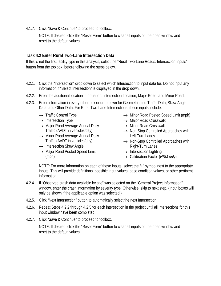4.1.7. Click "Save & Continue" to proceed to toolbox.

NOTE: If desired, click the "Reset Form" button to clear all inputs on the open window and reset to the default values.

## **Task 4.2 Enter Rural Two-Lane Intersection Data**

If this is not the first facility type in this analysis, select the "Rural Two-Lane Roads: Intersection Inputs" button from the toolbox, before following the steps below.

- 4.2.1. Click the "Intersection" drop down to select which Intersection to input data for. Do not input any information if "Select Intersection" is displayed in the drop down.
- 4.2.2. Enter the additional location information: Intersection Location, Major Road, and Minor Road.
- 4.2.3. Enter information in every other box or drop down for Geometric and Traffic Data, Skew Angle Data, and Other Data. For Rural Two-Lane Intersections, these inputs include:
	- $\rightarrow$  Traffic Control Type
	- $\rightarrow$  Intersection Type
	- $\rightarrow$  Major Road Average Annual Daily Traffic (AADT in vehicles/day)
	- $\rightarrow$  Minor Road Average Annual Daily Traffic (AADT in vehicles/day)
	- $\rightarrow$  Intersection Skew Angle
	- → Major Road Posted Speed Limit (mph)
- $\rightarrow$  Minor Road Posted Speed Limit (mph)
- $\rightarrow$  Major Road Crosswalk
- $\rightarrow$  Minor Road Crosswalk
- $\rightarrow$  Non-Stop Controlled Approaches with Left-Turn Lanes
- $\rightarrow$  Non-Stop Controlled Approaches with Right-Turn Lanes
- $\rightarrow$  Intersection Lighting
- → Calibration Factor (*HSM only*)

NOTE: For more information on each of these inputs, select the "+" symbol next to the appropriate inputs. This will provide definitions, possible input values, base condition values, or other pertinent information.

- 4.2.4. If "Observed crash data available by site" was selected on the "General Project Information" window, enter the crash information by severity type. Otherwise, skip to next step. (Input boxes will only be shown if the applicable option was selected.)
- 4.2.5. Click "Next Intersection" button to automatically select the next Intersection.
- 4.2.6. Repeat Steps 4.2.2 through 4.2.5 for each intersection in the project until all intersections for this input window have been completed.
- 4.2.7. Click "Save & Continue" to proceed to toolbox.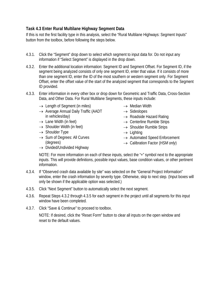## **Task 4.3 Enter Rural Multilane Highway Segment Data**

If this is not the first facility type in this analysis, select the "Rural Multilane Highways: Segment Inputs" button from the toolbox, before following the steps below.

- 4.3.1. Click the "Segment" drop down to select which segment to input data for. Do not input any information if "Select Segment" is displayed in the drop down.
- 4.3.2. Enter the additional location information: Segment ID and Segment Offset. For Segment ID, if the segment being analyzed consists of only one segment ID, enter that value. If it consists of more than one segment ID, enter the ID of the most southern or western segment only. For Segment Offset, enter the offset value of the start of the analyzed segment that corresponds to the Segment ID provided.
- 4.3.3. Enter information in every other box or drop down for Geometric and Traffic Data, Cross-Section Data, and Other Data. For Rural Multilane Segments, these inputs include:
	- $\rightarrow$  Length of Segment (in miles)
	- $\rightarrow$  Average Annual Daily Traffic (AADT in vehicles/day)
	- $\rightarrow$  Lane Width (in feet)
	- $\rightarrow$  Shoulder Width (in feet)
	- $\rightarrow$  Shoulder Type
	- $\rightarrow$  Sum of Degrees: All Curves (degrees)
	- $\rightarrow$  Divided/Undivided Highway
- $\rightarrow$  Median Width
- $\rightarrow$  Sideslopes
- $\rightarrow$  Roadside Hazard Rating
- $\rightarrow$  Centerline Rumble Strips
- $\rightarrow$  Shoulder Rumble Strips
- $\rightarrow$  Lighting
- $\rightarrow$  Automated Speed Enforcement
- → Calibration Factor (*HSM only*)

NOTE: For more information on each of these inputs, select the "+" symbol next to the appropriate inputs. This will provide definitions, possible input values, base condition values, or other pertinent information.

- 4.3.4. If "Observed crash data available by site" was selected on the "General Project Information" window, enter the crash information by severity type. Otherwise, skip to next step. (Input boxes will only be shown if the applicable option was selected.)
- 4.3.5. Click "Next Segment" button to automatically select the next segment.
- 4.3.6. Repeat Steps 4.3.2 through 4.3.5 for each segment in the project until all segments for this input window have been completed.
- 4.3.7. Click "Save & Continue" to proceed to toolbox.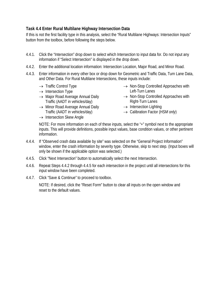## **Task 4.4 Enter Rural Multilane Highway Intersection Data**

If this is not the first facility type in this analysis, select the "Rural Multilane Highways: Intersection Inputs" button from the toolbox, before following the steps below.

- 4.4.1. Click the "Intersection" drop down to select which Intersection to input data for. Do not input any information if "Select Intersection" is displayed in the drop down.
- 4.4.2. Enter the additional location information: Intersection Location, Major Road, and Minor Road.
- 4.4.3. Enter information in every other box or drop down for Geometric and Traffic Data, Turn Lane Data, and Other Data. For Rural Multilane Intersections, these inputs include:
	- $\rightarrow$  Traffic Control Type
	- $\rightarrow$  Intersection Type
	- $\rightarrow$  Major Road Average Annual Daily Traffic (AADT in vehicles/day)
	- → Minor Road Average Annual Daily Traffic (AADT in vehicles/day)
	- $\rightarrow$  Intersection Skew Angle
- $\rightarrow$  Non-Stop Controlled Approaches with Left-Turn Lanes
- $\rightarrow$  Non-Stop Controlled Approaches with Right-Turn Lanes
- $\rightarrow$  Intersection Lighting
- → Calibration Factor (*HSM only*)

NOTE: For more information on each of these inputs, select the "+" symbol next to the appropriate inputs. This will provide definitions, possible input values, base condition values, or other pertinent information.

- 4.4.4. If "Observed crash data available by site" was selected on the "General Project Information" window, enter the crash information by severity type. Otherwise, skip to next step. (Input boxes will only be shown if the applicable option was selected.)
- 4.4.5. Click "Next Intersection" button to automatically select the next Intersection.
- 4.4.6. Repeat Steps 4.4.2 through 4.4.5 for each intersection in the project until all intersections for this input window have been completed.
- 4.4.7. Click "Save & Continue" to proceed to toolbox.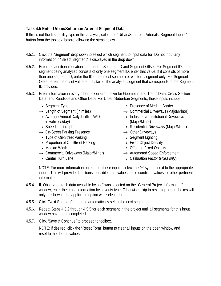## **Task 4.5 Enter Urban/Suburban Arterial Segment Data**

If this is not the first facility type in this analysis, select the "Urban/Suburban Arterials: Segment Inputs" button from the toolbox, before following the steps below.

- 4.5.1. Click the "Segment" drop down to select which segment to input data for. Do not input any information if "Select Segment" is displayed in the drop down.
- 4.5.2. Enter the additional location information: Segment ID and Segment Offset. For Segment ID, if the segment being analyzed consists of only one segment ID, enter that value. If it consists of more than one segment ID, enter the ID of the most southern or western segment only. For Segment Offset, enter the offset value of the start of the analyzed segment that corresponds to the Segment ID provided.
- 4.5.3. Enter information in every other box or drop down for Geometric and Traffic Data, Cross-Section Data, and Roadside and Other Data. For Urban/Suburban Segments, these inputs include:
	- $\rightarrow$  Segment Type
	- $\rightarrow$  Length of Segment (in miles)
	- → Average Annual Daily Traffic (AADT in vehicles/day)
	- $\rightarrow$  Speed Limit (mph)
	- $\rightarrow$  On-Street Parking Presence
	- $\rightarrow$  Type of On-Street Parking
	- → Proportion of On-Street Parking
	- $\rightarrow$  Median Width
	- $\rightarrow$  Commercial Driveways (Major/Minor)
	- → Center Turn Lane
- $\rightarrow$  Presence of Median Barrier
- $\rightarrow$  Commercial Driveways (Major/Minor)
- $\rightarrow$  Industrial & Institutional Driveways (Major/Minor)
- $\rightarrow$  Residential Driveways (Major/Minor)
- $\rightarrow$  Other Driveways
	- $\rightarrow$  Segment Lighting
- $\rightarrow$  Fixed Object Density
- $\rightarrow$  Offset to Fixed Objects
- → Automated Speed Enforcement
	- → Calibration Factor (*HSM only*)

NOTE: For more information on each of these inputs, select the "+" symbol next to the appropriate inputs. This will provide definitions, possible input values, base condition values, or other pertinent information.

- 4.5.4. If "Observed crash data available by site" was selected on the "General Project Information" window, enter the crash information by severity type. Otherwise, skip to next step. (Input boxes will only be shown if the applicable option was selected.)
- 4.5.5. Click "Next Segment" button to automatically select the next segment.
- 4.5.6. Repeat Steps 4.5.2 through 4.5.5 for each segment in the project until all segments for this input window have been completed.
- 4.5.7. Click "Save & Continue" to proceed to toolbox.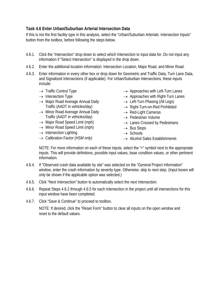## **Task 4.6 Enter Urban/Suburban Arterial Intersection Data**

If this is not the first facility type in this analysis, select the "Urban/Suburban Arterials: Intersection Inputs" button from the toolbox, before following the steps below.

- 4.6.1. Click the "Intersection" drop down to select which Intersection to input data for. Do not input any information if "Select Intersection" is displayed in the drop down.
- 4.6.2. Enter the additional location information: Intersection Location, Major Road, and Minor Road.
- 4.6.3. Enter information in every other box or drop down for Geometric and Traffic Data, Turn Lane Data, and Signalized Intersections (if applicable). For Urban/Suburban Intersections, these inputs include:
	- $\rightarrow$  Traffic Control Type
	- $\rightarrow$  Intersection Type
	- → Maior Road Average Annual Daily Traffic (AADT in vehicles/day)
	- $\rightarrow$  Minor Road Average Annual Daily Traffic (AADT in vehicles/day)
	- $\rightarrow$  Major Road Speed Limit (mph)
	- $\rightarrow$  Minor Road Speed Limit (mph)
	- $\rightarrow$  Intersection Lighting
	- → Calibration Factor (*HSM only*)
- $\rightarrow$  Approaches with Left-Turn Lanes
- $\rightarrow$  Approaches with Right-Turn Lanes
- $\rightarrow$  Left-Turn Phasing (All Legs)
- $\rightarrow$  Right-Turn-on-Red Prohibited
- $\rightarrow$  Red-Light Cameras
- $\rightarrow$  Pedestrian Volume
- $\rightarrow$  Lanes Crossed by Pedestrians
- $\rightarrow$  Bus Stops
- $\rightarrow$  Schools
- $\rightarrow$  Alcohol Sales Establishments

NOTE: For more information on each of these inputs, select the "+" symbol next to the appropriate inputs. This will provide definitions, possible input values, base condition values, or other pertinent information.

- 4.6.4. If "Observed crash data available by site" was selected on the "General Project Information" window, enter the crash information by severity type. Otherwise, skip to next step. (Input boxes will only be shown if the applicable option was selected.)
- 4.6.5. Click "Next Intersection" button to automatically select the next Intersection.
- 4.6.6. Repeat Steps 4.6.2 through 4.6.5 for each intersection in the project until all intersections for this input window have been completed.
- 4.6.7. Click "Save & Continue" to proceed to toolbox.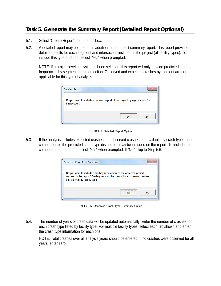## **Task 5. Generate the Summary Report (Detailed Report Optional)**

- 5.1. Select "Create Report" from the toolbox.
- 5.2. A detailed report may be created in addition to the default summary report. This report provides detailed results for each segment and intersection included in the project (all facility types). To include this type of report, select "Yes" when prompted.

NOTE: If a project level analysis has been selected, this report will only provide predicted crash frequencies by segment and intersection. Observed and expected crashes by element are not applicable for this type of analysis.

| <b>Detailed Report</b>                                                                     |
|--------------------------------------------------------------------------------------------|
| Do you want to include a detailed report of the project by segment and/or<br>intersection? |
| <b>No</b><br>Yes                                                                           |

EXHIBIT 5: Detailed Report Option

5.3. If the analysis includes expected crashes and observed crashes are available by crash type, then a comparison to the predicted crash type distribution may be included on the report. To include this component of the report, select "Yes" when prompted. If "No", skip to Step 5.6.



EXHIBIT 6: Observed Crash Type Summary Option

5.4. The number of years of crash data will be updated automatically. Enter the number of crashes for each crash type listed by facility type. For multiple facility types, select each tab shown and enter the crash type information for each one.

NOTE: Total crashes over all analysis years should be entered. If no crashes were observed for all years, enter zero.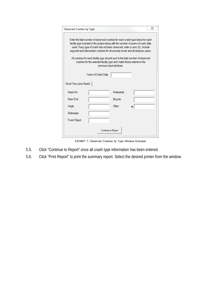| Observed Crashes by Type                                                                                                                                                                                                                                                                                                                                                                                                                                                                                                    |                     |            |  | X |  |  |
|-----------------------------------------------------------------------------------------------------------------------------------------------------------------------------------------------------------------------------------------------------------------------------------------------------------------------------------------------------------------------------------------------------------------------------------------------------------------------------------------------------------------------------|---------------------|------------|--|---|--|--|
| Enter the total number of observed crashes for each crash type below for each<br>facility type included in the project along with the number of years of crash data<br>used. If any type of crash has not been observed, enter a zero (0). Include<br>segment and intersection crashes for all severity levels and all analysis years.<br>All crashes for each facility type should sum to the total number of observed<br>crashes for the selected facility type and match those entered in the<br>previous input windows. |                     |            |  |   |  |  |
|                                                                                                                                                                                                                                                                                                                                                                                                                                                                                                                             | Years of Crash Data |            |  |   |  |  |
| Rural Two-Lane Roads                                                                                                                                                                                                                                                                                                                                                                                                                                                                                                        |                     |            |  |   |  |  |
| Head-On                                                                                                                                                                                                                                                                                                                                                                                                                                                                                                                     |                     | Pedestrian |  |   |  |  |
| Rear-Fnd                                                                                                                                                                                                                                                                                                                                                                                                                                                                                                                    |                     | Bicycle    |  |   |  |  |
| Angle                                                                                                                                                                                                                                                                                                                                                                                                                                                                                                                       |                     | Other      |  |   |  |  |
| Sideswipe                                                                                                                                                                                                                                                                                                                                                                                                                                                                                                                   |                     |            |  |   |  |  |
| <b>Fixed Object</b>                                                                                                                                                                                                                                                                                                                                                                                                                                                                                                         |                     |            |  |   |  |  |
|                                                                                                                                                                                                                                                                                                                                                                                                                                                                                                                             | Continue to Report  |            |  |   |  |  |

EXHIBIT 7: Observed Crashes by Type Window Example

- 5.5. Click "Continue to Report" once all crash type information has been entered.
- 5.6. Click "Print Report" to print the summary report. Select the desired printer from the window.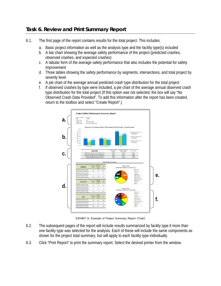## **Task 6. Review and Print Summary Report**

- 6.1. The first page of the report contains results for the total project. This includes:
	- a. Basic project information as well as the analysis type and the facility type(s) included
	- b. A bar chart showing the average safety performance of the project (predicted crashes, observed crashes, and expected crashes)
	- c. A tabular form of the average safety performance that also includes the potential for safety improvement
	- d. Three tables showing the safety performance by segments, intersections, and total project by severity level
	- e. A pie chart of the average annual predicted crash type distribution for the total project
	- f. If observed crashes by type were included, a pie chart of the average annual observed crash type distribution for the total project (If this option was not selected, the box will say "No Observed Crash Data Provided". To add this information after the report has been created, return to the toolbox and select "Create Report".)



EXHIBIT 8: Example of Project Summary Report (Total)

- 6.2. The subsequent pages of the report will include results summarized by facility type if more than one facility type was selected for the analysis. Each of these will include the same components as shown for the project total summary, but will apply to each facility type individually.
- 6.3. Click "Print Report" to print the summary report. Select the desired printer from the window.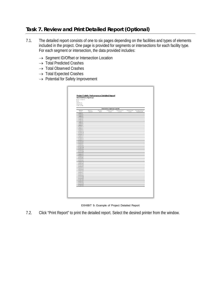## **Task 7. Review and Print Detailed Report (Optional)**

- 7.1. The detailed report consists of one to six pages depending on the facilities and types of elements included in the project. One page is provided for segments or intersections for each facility type. For each segment or intersection, the data provided includes:
	- → Segment ID/Offset or Intersection Location
	- $\rightarrow$  Total Predicted Crashes
	- $\rightarrow$  Total Observed Crashes
	- $\rightarrow$  Total Expected Crashes
	- → Potential for Safety Improvement

| <b>Rural Multilane Highways</b><br>Project Tescription |          |           |                                                                      |                        |                       |                         |
|--------------------------------------------------------|----------|-----------|----------------------------------------------------------------------|------------------------|-----------------------|-------------------------|
| Do's                                                   |          |           |                                                                      |                        |                       |                         |
| Antigals Year<br>Anciysis Type                         |          |           |                                                                      |                        |                       |                         |
| Focility Spent                                         |          |           |                                                                      |                        |                       |                         |
|                                                        |          |           |                                                                      |                        |                       |                         |
| Segrituant                                             | Perc/ASI | Records 2 | <b>Rural Multilane Highways: Segments</b><br><b>Lodge Management</b> | <b>Joint Chorners'</b> | <b>Today Famorand</b> | Profession for State by |
| <b>Norse</b>                                           | segment  | Office    | Crashes.                                                             | Craster                | Cramos                | наркологоска            |
| Segment                                                |          |           |                                                                      |                        |                       |                         |
| Segment 2                                              |          |           |                                                                      |                        |                       |                         |
| Segment 3                                              |          |           |                                                                      |                        |                       |                         |
| Segment4<br>Segmento                                   |          |           |                                                                      |                        |                       |                         |
| Sognorité                                              |          |           |                                                                      |                        |                       |                         |
| Segment?                                               |          |           |                                                                      |                        |                       |                         |
| Segment 5                                              |          |           |                                                                      |                        |                       |                         |
| Degment?                                               |          |           |                                                                      |                        |                       |                         |
| Segment 15                                             |          |           |                                                                      |                        |                       |                         |
| Sogmont 11                                             |          |           |                                                                      |                        |                       |                         |
| Segment <sup>12</sup><br>Segment 15                    |          |           |                                                                      |                        |                       |                         |
| Segment 14                                             |          |           |                                                                      |                        |                       |                         |
| Segment 15                                             |          |           |                                                                      |                        |                       |                         |
| Segment 16                                             |          |           |                                                                      |                        |                       |                         |
| Sogmont 17                                             |          |           |                                                                      |                        |                       |                         |
| Segment B<br>Segment 19                                |          |           |                                                                      |                        |                       |                         |
| Segment 25                                             |          |           |                                                                      |                        |                       |                         |
| Segment 21                                             |          |           |                                                                      |                        |                       |                         |
| Segment 27                                             |          |           |                                                                      |                        |                       |                         |
| Sogment 23                                             |          |           |                                                                      |                        |                       |                         |
| Segment St                                             |          |           |                                                                      |                        |                       |                         |
| Segment 25                                             |          |           |                                                                      |                        |                       |                         |
| Segment 26<br>Segment 27                               |          |           |                                                                      |                        |                       |                         |
| Segment 25                                             |          |           |                                                                      |                        |                       |                         |
| Segment 29                                             |          |           |                                                                      |                        |                       |                         |
| Segment 30                                             |          |           |                                                                      |                        |                       |                         |
| Segment31                                              |          |           |                                                                      |                        |                       |                         |
| Segment 32<br>Segment 35                               |          |           |                                                                      |                        |                       |                         |
| Segment 34                                             |          |           |                                                                      |                        |                       |                         |
| Segment 35                                             |          |           |                                                                      |                        |                       |                         |
| Segment 36                                             |          |           |                                                                      |                        |                       |                         |
| Segment 37                                             |          |           |                                                                      |                        |                       |                         |
| Segment 33                                             |          |           |                                                                      |                        |                       |                         |
| Segment 39<br>Segment40                                |          |           |                                                                      |                        |                       |                         |
| Segment 41                                             |          |           |                                                                      |                        |                       |                         |
| Segment 42                                             |          |           |                                                                      |                        |                       |                         |
| Segment 45                                             |          |           |                                                                      |                        |                       |                         |
| Segment 44                                             |          |           |                                                                      |                        |                       |                         |
| Segment 45                                             |          |           |                                                                      |                        |                       |                         |
| Segment 46<br>Segment 47                               |          |           |                                                                      |                        |                       |                         |
| Segment 45                                             |          |           |                                                                      |                        |                       |                         |
| Segment 42                                             |          |           |                                                                      |                        |                       |                         |
| Segment 50                                             |          |           |                                                                      |                        |                       |                         |
|                                                        |          |           |                                                                      |                        |                       |                         |

EXHIBIT 9: Example of Project Detailed Report

7.2. Click "Print Report" to print the detailed report. Select the desired printer from the window.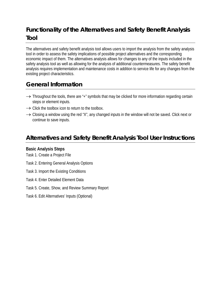# **Functionality of the Alternatives and Safety Benefit Analysis Tool**

The alternatives and safety benefit analysis tool allows users to import the analysis from the safety analysis tool in order to assess the safety implications of possible project alternatives and the corresponding economic impact of them. The alternatives analysis allows for changes to any of the inputs included in the safety analysis tool as well as allowing for the analysis of additional countermeasures. The safety benefit analysis requires implementation and maintenance costs in addition to service life for any changes from the existing project characteristics.

# **General Information**

- $\rightarrow$  Throughout the tools, there are "+" symbols that may be clicked for more information regarding certain steps or element inputs.
- $\rightarrow$  Click the toolbox icon to return to the toolbox.
- $\rightarrow$  Closing a window using the red "X", any changed inputs in the window will not be saved. Click next or continue to save inputs.

# **Alternatives and Safety Benefit Analysis Tool User Instructions**

#### **Basic Analysis Steps**

- Task 1. Create a Project File
- Task 2. Entering General Analysis Options
- Task 3. Import the Existing Conditions
- Task 4. Enter Detailed Element Data
- Task 5. Create, Show, and Review Summary Report
- Task 6. Edit Alternatives' Inputs (Optional)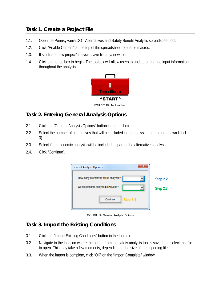## **Task 1. Create a Project File**

- 1.1. Open the Pennsylvania DOT Alternatives and Safety Benefit Analysis spreadsheet tool.
- 1.2. Click "Enable Content" at the top of the spreadsheet to enable macros.
- 1.3. If starting a new project/analysis, save file as a new file.
- 1.4. Click on the toolbox to begin. The toolbox will allow users to update or change input information throughout the analysis.



EXHIBIT 10: Toolbox Icon

## **Task 2. Entering General Analysis Options**

- 2.1. Click the "General Analysis Options" button in the toolbox.
- 2.2. Select the number of alternatives that will be included in the analysis from the dropdown list (1 to 3).
- 2.3. Select if an economic analysis will be included as part of the alternatives analysis.
- 2.4. Click "Continue".



EXHIBIT 11: General Analysis Options

## **Task 3. Import the Existing Conditions**

- 3.1. Click the "Import Existing Conditions" button in the toolbox.
- 3.2. Navigate to the location where the output from the safety analysis tool is saved and select that file to open. This may take a few moments, depending on the size of the importing file.
- 3.3. When the import is complete, click "OK" on the "Import Complete" window.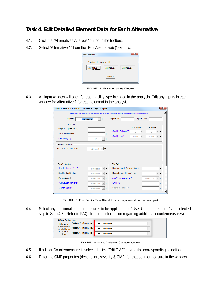## **Task 4. Edit Detailed Element Data for Each Alternative**

- 4.1. Click the "Alternatives Analysis" button in the toolbox.
- 4.2. Select "Alternative 1" from the "Edit Alternative(s)" window.

| <b>Edit Alternative(s)</b>                          |               |               |
|-----------------------------------------------------|---------------|---------------|
| Select an alternative to edit:                      |               |               |
| ,,,,,,,,,,,,,,,,,,,,,,,,,,,,,,,,,,<br>Alternative 1 | Alternative 2 | Alternative 3 |
|                                                     | Finished      |               |
|                                                     |               |               |

EXHIBIT 12: Edit Alternatives Window

4.3. An input window will open for each facility type included in the analysis. Edit any inputs in each window for Alternative 1 for each element in the analysis.

|                               |                                                        | *Entry of the values in BLUE are optional inputs for the calculation of HSM-based crash modification factors. |                  |
|-------------------------------|--------------------------------------------------------|---------------------------------------------------------------------------------------------------------------|------------------|
| Segment:                      | <b>Select Seament</b><br>$\overline{\phantom{a}}$<br>۰ | Segment ID:                                                                                                   | Segment Offset:  |
| Geometric and Traffic Data    |                                                        |                                                                                                               |                  |
| Length of Segment (miles)     |                                                        | <b>Right Shoulder</b>                                                                                         | Left Shoulder    |
| AADT (vehicles/day)           |                                                        | Shoulder Width (feet)*<br>6                                                                                   | 6<br>۰           |
| Lane Width (feet)*            | 12                                                     | Shoulder Type*<br>Paved                                                                                       | Paved<br>÷       |
| Presence of Horizontal Curve  | Not Present                                            |                                                                                                               |                  |
| Cross-Section Data            |                                                        | Other Data                                                                                                    |                  |
| Centerline Rumble Strips*     | Not Present<br>÷                                       | Driveway Density (driveways/mile)                                                                             | 5                |
| <b>Shoulder Rumble Strips</b> | Not Present<br>۰                                       | Roadside Hazard Rating (1 - 7)                                                                                | 3<br>۰           |
| Passing Lane(s)               | Not Present<br>۰                                       | Auto Speed Enforcement*                                                                                       | Not Present<br>۰ |
| Two-Way Left-Turn Lane*       | Not Present<br>٠                                       | Grade (%)*                                                                                                    | ٠                |

EXHIBIT 13: First Facility Type (Rural 2-Lane Segments shown as example)

4.4. Select any additional countermeasures to be applied. If no "User Countermeasures" are selected, skip to Step 4.7. (Refer to FAQs for more information regarding additional countermeasures).

| <b>Additional Countermeasures</b>         |                             |                              |  |
|-------------------------------------------|-----------------------------|------------------------------|--|
| Select up to 3                            | Additional Countermeasure 1 | Select Countermeasure        |  |
| countermeasures to<br>be applied that are | Additional Countermeasure 2 | Select Countermeasure        |  |
| not addressed<br>above.                   | Additional Countermeasure 3 | <b>Select Countermeasure</b> |  |

EXHIBIT 14: Select Additional Countermeasures

- 4.5. If a User Countermeasure is selected, click "Edit CMF" next to the corresponding selection.
- 4.6. Enter the CMF properties (description, severity & CMF) for that countermeasure in the window.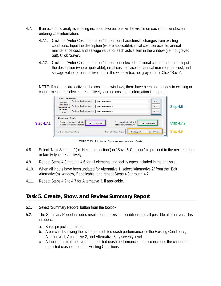- 4.7. If an economic analysis is being included, two buttons will be visible on each input window for entering cost information.
	- 4.7.1. Click the "Enter Cost Information" button for characteristic changes from existing conditions. Input the description (where applicable), initial cost, service life, annual maintenance cost, and salvage value for each active item in the window (i.e. not greyed out). Click "Save".
	- 4.7.2. Click the "Enter Cost Information" button for selected additional countermeasures. Input the description (where applicable), initial cost, service life, annual maintenance cost, and salvage value for each active item in the window (i.e. not greyed out). Click "Save".

NOTE: If no items are active in the cost input windows, there have been no changes to existing or countermeasures selected, respectively, and no cost input information is required.

|                   | <b>Additional Countermeasures</b><br>Additional Countermeasure 1<br>Edit CMF<br><b>User Countermeasure 1</b><br>Select up to 3<br>countermeasures to<br>Additional Countermeasure 2<br>User Countermeasure 2<br>Edit CMF<br>be applied that are<br>not addressed<br>Additional Countermeasure 3<br>Edit CMF<br>User Countermeasure 2<br>above.   | Step 4.5                      |
|-------------------|--------------------------------------------------------------------------------------------------------------------------------------------------------------------------------------------------------------------------------------------------------------------------------------------------------------------------------------------------|-------------------------------|
| <b>Step 4.7.1</b> | Alternative Cost Information<br>Cost information for characteristic<br>Cost information for selected<br><b>Enter Cost Information</b><br>Enter Cost Information<br>changes from existing conditions<br>additional countermeasures<br>Save & Continue<br>Reset Form to Existing Conditions<br>Return to Edit Inputs Window<br><b>Next Segment</b> | <b>Step 4.7.2</b><br>Step 4.8 |

EXHIBIT 15: Additional Countermeasures and Costs

- 4.8. Select "Next Segment" (or "Next Intersection") or "Save & Continue" to proceed to the next element or facility type, respectively.
- 4.9. Repeat Steps 4.3 through 4.6 for all elements and facility types included in the analysis.
- 4.10. When all inputs have been updated for Alternative 1, select "Alternative 2" from the "Edit Alternative(s)" window, if applicable, and repeat Steps 4.3 through 4.7.
- 4.11. Repeat Steps 4.2 to 4.7 for Alternative 3, if applicable.

## **Task 5. Create, Show, and Review Summary Report**

- 5.1. Select "Summary Report" button from the toolbox.
- 5.2. The Summary Report includes results for the existing conditions and all possible alternatives. This includes:
	- a. Basic project information
	- b. A bar chart showing the average predicted crash performance for the Existing Conditions, Alternative 1, Alternative 2, and Alternative 3 by severity level
	- c. A tabular form of the average predicted crash performance that also includes the change in predicted crashes from the Existing Conditions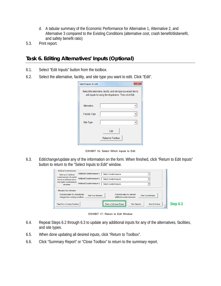- d. A tabular summary of the Economic Performance for Alternative 1, Alternative 2, and Alternative 3 compared to the Existing Conditions (alternative cost, crash benefit/disbenefit, and safety benefit ratio)
- 5.3. Print report.

## **Task 6. Editing Alternatives' Inputs (Optional)**

- 6.1. Select "Edit Inputs" button from the toolbox.
- 6.2. Select the alternative, facility, and site type you want to edit. Click "Edit".

| Select Inputs to Edit |                                                                                                                            |
|-----------------------|----------------------------------------------------------------------------------------------------------------------------|
|                       | Select the alternative, facility, and site type you would like to<br>edit inputs for using the dropdowns. Then click Edit. |
| <b>Alternative</b>    |                                                                                                                            |
| <b>Facility Type</b>  |                                                                                                                            |
| Site Type             |                                                                                                                            |
|                       | Edit<br>Return to Toolbox                                                                                                  |
|                       |                                                                                                                            |

EXHIBIT 16: Select Which Inputs to Edit

6.3. Edit/change/update any of the information on the form. When finished, click "Return to Edit Inputs" button to return to the "Select Inputs to Edit" window.

| <b>Additional Countermeasures</b><br>Additional Countermeasure 1<br>Select Countermeasure<br>Select up to 3 additional                                                                                                            |          |
|-----------------------------------------------------------------------------------------------------------------------------------------------------------------------------------------------------------------------------------|----------|
| countermeasures to be applied<br>Additional Countermeasure 2<br>Select Countermeasure<br>$\overline{\phantom{a}}$<br>that are not addressed above.                                                                                |          |
| Only eligible countermeasures<br>Additional Countermeasure 3<br>Select Countermeasure<br>are shown                                                                                                                                |          |
| Alternative Cost Information<br>Cost information for characteristic<br>Cost information for selected<br><b>Enter Cost Information</b><br>Enter Cost Information<br>changes from existing conditions<br>additional countermeasures |          |
| Save & Continue<br>Reset Form to Existing Conditions<br>Return to Edit Inputs Window<br><b>Next Segment</b>                                                                                                                       | Step 6.3 |

EXHIBIT 17: Return to Edit Window

- 6.4. Repeat Steps 6.2 through 6.3 to update any additional inputs for any of the alternatives, facilities, and site types.
- 6.5. When done updating all desired inputs, click "Return to Toolbox".
- 6.6. Click "Summary Report" or "Close Toolbox" to return to the summary report.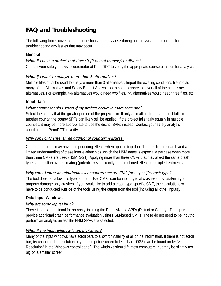# **FAQ and Troubleshooting**

The following topics cover common questions that may arise during an analysis or approaches for troubleshooting any issues that may occur.

#### **General**

#### *What if I have a project that doesn't fit one of models/conditions?*

Contact your safety analysis coordinator at PennDOT to verify the appropriate course of action for analysis.

#### *What if I want to analyze more than 3 alternatives?*

Multiple files must be used to analyze more than 3 alternatives. Import the existing conditions file into as many of the Alternatives and Safety Benefit Analysis tools as necessary to cover all of the necessary alternatives. For example, 4-6 alternatives would need two files, 7-9 alternatives would need three files, etc.

#### **Input Data**

#### *What county should I select if my project occurs in more than one?*

Select the county that the greater portion of the project is in. If only a small portion of a project falls in another county, the county SPFs can likely still be applied. If the project falls fairly equally in multiple counties, it may be more appropriate to use the district SPFs instead. Contact your safety analysis coordinator at PennDOT to verify.

#### *Why can I only enter three additional countermeasures?*

Countermeasures may have compounding effects when applied together. There is little research and a limited understanding of these interrelationships, which the HSM notes is especially the case when more than three CMFs are used (HSM, 3-21). Applying more than three CMFs that may affect the same crash type can result in overestimating (potentially significantly) the combined effect of multiple treatments.

#### *Why can't I enter an additional user countermeasure CMF for a specific crash type?*

The tool does not allow this type of input. User CMFs can be input by total crashes or by fatal/injury and property damage only crashes. If you would like to add a crash type-specific CMF, the calculations will have to be conducted outside of the tools using the output from the tool (including all other inputs).

#### **Data Input Windows**

#### *Why are some inputs blue?*

These inputs are optional for an analysis using the Pennsylvania SPFs (District or County). The inputs provide additional crash performance evaluation using HSM-based CMFs. These do not need to be input to perform an analysis unless the HSM SPFs are selected.

#### *What if the input window is too big/cutoff?*

Many of the input windows have scroll bars to allow for visibility of all of the information. If there is not scroll bar, try changing the resolution of your computer screen to less than 100% (can be found under "Screen Resolution" in the Windows control panel). The windows should fit most computers, but may be slightly too big on a smaller screen.